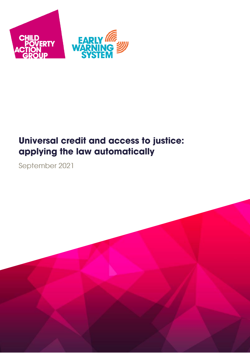

# **Universal credit and access to justice:** applying the law automatically

September 2021

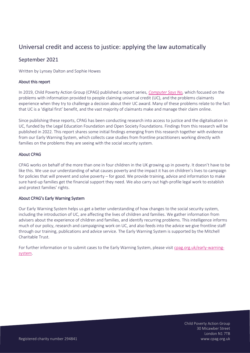# Universal credit and access to justice: applying the law automatically

## September 2021

Written by Lynsey Dalton and Sophie Howes

## About this report

In 2019, Child Poverty Action Group (CPAG) published a report series, *[Computer Says No,](https://cpag.org.uk/policy-and-campaigns/computer-says-no-access-justice-and-digitalisation-universal-credit)* which focused on the problems with information provided to people claiming universal credit (UC), and the problems claimants experience when they try to challenge a decision about their UC award. Many of these problems relate to the fact that UC is a 'digital first' benefit, and the vast majority of claimants make and manage their claim online.

Since publishing these reports, CPAG has been conducting research into access to justice and the digitalisation in UC, funded by the Legal Education Foundation and Open Society Foundations. Findings from this research will be published in 2022. This report shares some initial findings emerging from this research together with evidence from our Early Warning System, which collects case studies from frontline practitioners working directly with families on the problems they are seeing with the social security system.

## About CPAG

CPAG works on behalf of the more than one in four children in the UK growing up in poverty. It doesn't have to be like this. We use our understanding of what causes poverty and the impact it has on children's lives to campaign for policies that will prevent and solve poverty – for good. We provide training, advice and information to make sure hard-up families get the financial support they need. We also carry out high-profile legal work to establish and protect families' rights.

## About CPAG's Early Warning System

Our Early Warning System helps us get a better understanding of how changes to the social security system, including the introduction of UC, are affecting the lives of children and families. We gather information from advisers about the experience of children and families, and identify recurring problems. This intelligence informs much of our policy, research and campaigning work on UC, and also feeds into the advice we give frontline staff through our training, publications and advice service. The Early Warning System is supported by the Mitchell Charitable Trust.

For further information or to submit cases to the Early Warning System, please visit [cpag.org.uk/early-warning](https://cpag.org.uk/policy-campaigns/early-warning-system)[system.](https://cpag.org.uk/policy-campaigns/early-warning-system)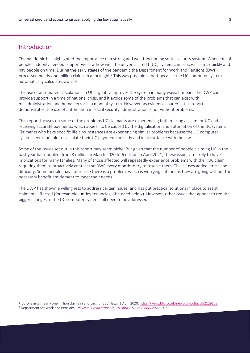## **Introduction**

 $\overline{a}$ 

The pandemic has highlighted the importance of a strong and well-functioning social security system. When lots of people suddenly needed support we saw how well the universal credit (UC) system can process claims quickly and pay people on time. During the early stages of the pandemic the Department for Work and Pensions (DWP) processed nearly one million claims in a fortnight. <sup>1</sup> This was possible in part because the UC computer system automatically calculates awards.

The use of automated calculations in UC arguably improves the system in many ways. It means the DWP can provide support in a time of national crisis, and it avoids some of the problems that can exist with maladministration and human error in a manual system. However, as evidence shared in this report demonstrates, the use of automation in social security administration is not without problems.

This report focuses on some of the problems UC claimants are experiencing both making a claim for UC and receiving accurate payments, which appear to be caused by the digitalisation and automation of the UC system. Claimants who have specific life circumstances are experiencing similar problems because the UC computer system seems unable to calculate their UC payment correctly and in accordance with the law.

Some of the issues set out in this report may seem niche. But given that the number of people claiming UC in the past year has doubled, from 3 million in March 2020 to 6 million in April 2021, 2 these issues are likely to have implications for many families. Many of those affected will repeatedly experience problems with their UC claim, requiring them to proactively contact the DWP every month to try to resolve them. This causes added stress and difficulty. Some people may not realise there is a problem, which is worrying if it means they are going without the necessary benefit entitlement to meet their needs.

The DWP has shown a willingness to address certain issues, and has put practical solutions in place to assist claimants affected (for example, untidy tenancies, discussed below). However, other issues that appear to require bigger changes to the UC computer system still need to be addressed.

<sup>&</sup>lt;sup>1</sup> '[Coronavirus: nearly one million claims in a fortnight](https://www.bbc.co.uk/news/uk-politics-52129128)', BBC News, 1 April 2020, <u>https://www.bbc.co.uk/news/uk-politics-52129128</u>

<sup>2</sup> Department for Work and Pensions, *[Universal Credit statistics, 29 April 2013 to 8 April 2021](https://www.gov.uk/government/statistics/universal-credit-statistics-29-april-2013-to-8-april-2021/universal-credit-statistics-29-april-2013-to-8-april-2021)*, 2021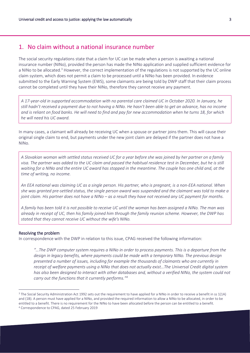## 1. No claim without a national insurance number

The social security regulations state that a claim for UC can be made when a person is awaiting a national insurance number (NINo), provided the person has made the NINo application and supplied sufficient evidence for a NINo to be allocated.<sup>3</sup> However, the correct implementation of the regulations is not supported by the UC online claim system, which does not permit a claim to be processed until a NINo has been provided. In evidence submitted to the Early Warning System (EWS), some claimants are being told by DWP staff that their claim process cannot be completed until they have their NINo, therefore they cannot receive any payment.

*A 17-year-old in supported accommodation with no parental care claimed UC in October 2020. In January, he still hadn't received a payment due to not having a NINo. He hasn't been able to get an advance, has no income and is reliant on food banks. He will need to find and pay for new accommodation when he turns 18, for which he will need his UC award.*

In many cases, a claimant will already be receiving UC when a spouse or partner joins them. This will cause their original single claim to end, but payments under the new joint claim are delayed if the partner does not have a NINo.

*A Slovakian woman with settled status received UC for a year before she was joined by her partner on a family visa. The partner was added to the UC claim and passed the habitual residence test in December, but he is still waiting for a NINo and the entire UC award has stopped in the meantime. The couple has one child and, at the time of writing, no income.* 

*An EEA national was claiming UC as a single person. His partner, who is pregnant, is a non-EEA national. When she was granted pre-settled status, the single person award was suspended and the claimant was told to make a joint claim. His partner does not have a NINo – as a result they have not received any UC payment for months.* 

*A family has been told it is not possible to receive UC until the woman has been assigned a NINo. The man was already in receipt of UC, then his family joined him through the family reunion scheme. However, the DWP has stated that they cannot receive UC without the wife's NINo.*

#### Resolving the problem

 $\overline{a}$ 

In correspondence with the DWP in relation to this issue, CPAG received the following information:

*"…The DWP computer system requires a NINo in order to process payments. This is a departure from the design in legacy benefits, where payments could be made with a temporary NINo. The previous design presented a number of issues, including for example the thousands of claimants who are currently in receipt of welfare payments using a NINo that does not actually exist…The Universal Credit digital system has also been designed to interact with other databases and, without a verified NINo, the system could not carry out the functions that it currently performs."<sup>4</sup>*

 $3$  The Social Security Administration Act 1992 sets out the requirement to have applied for a NINo in order to receive a benefit in ss 1(1A) and (1B). A person must have applied for a NINo, and provided the required information to allow a NINo to be allocated, in order to be entitled to a benefit. There is no requirement for the NINo to have been allocated before the person can be entitled to a benefit. <sup>4</sup> Correspondence to CPAG, dated 25 February 2019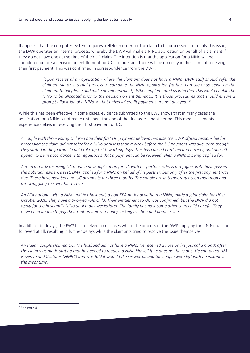It appears that the computer system requires a NINo in order for the claim to be processed. To rectify this issue, the DWP operates an internal process, whereby the DWP will make a NINo application on behalf of a claimant if they do not have one at the time of their UC claim. The intention is that the application for a NINo will be completed before a decision on entitlement for UC is made, and there will be no delay in the claimant receiving their first payment. This was confirmed in correspondence from the DWP:

> *"Upon receipt of an application where the claimant does not have a NINo, DWP staff should refer the claimant via an internal process to complete the NINo application (rather than the onus being on the claimant to telephone and make an appointment). When implemented as intended, this would enable the NINo to be allocated prior to the decision on entitlement… It is those procedures that should ensure a prompt allocation of a NINo so that universal credit payments are not delayed."<sup>5</sup>*

While this has been effective in some cases, evidence submitted to the EWS shows that in many cases the application for a NINo is not made until near the end of the first assessment period. This means claimants experience delays in receiving their first payment of UC.

*A couple with three young children had their first UC payment delayed because the DWP official responsible for processing the claim did not refer for a NINo until less than a week before the UC payment was due, even though they stated in the journal it could take up to 10 working days. This has caused hardship and anxiety, and doesn't appear to be in accordance with regulations that a payment can be received when a NINo is being applied for.*

*A man already receiving UC made a new application for UC with his partner, who is a refugee. Both have passed the habitual residence test. DWP applied for a NINo on behalf of his partner, but only after the first payment was due. There have now been no UC payments for three months. The couple are in temporary accommodation and are struggling to cover basic costs.* 

*An EEA national with a NINo and her husband, a non-EEA national without a NINo, made a joint claim for UC in October 2020. They have a two-year-old child. Their entitlement to UC was confirmed, but the DWP did not apply for the husband's NINo until many weeks later. The family has no income other than child benefit. They have been unable to pay their rent on a new tenancy, risking eviction and homelessness.* 

In addition to delays, the EWS has received some cases where the process of the DWP applying for a NINo was not followed at all, resulting in further delays while the claimants tried to resolve the issue themselves.

*An Italian couple claimed UC. The husband did not have a NINo. He received a note on his journal a month after the claim was made stating that he needed to request a NINo himself if he does not have one. He contacted HM Revenue and Customs (HMRC) and was told it would take six weeks, and the couple were left with no income in the meantime.*

<sup>5</sup> See note 4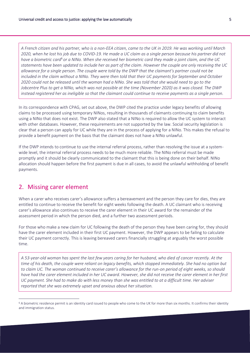*A French citizen and his partner, who is a non-EEA citizen, came to the UK in 2019. He was working until March 2020, when he lost his job due to COVID-19. He made a UC claim as a single person because his partner did not have a biometric card*<sup>6</sup> *or a NINo. When she received her biometric card they made a joint claim, and the UC statements have been updated to include her as part of the claim. However the couple are only receiving the UC allowance for a single person. The couple were told by the DWP that the claimant's partner could not be included in the claim without a NINo. They were then told that their UC payments for September and October 2020 could not be released until the woman had a NINo. She was told that she would need to go to the Jobcentre Plus to get a NINo, which was not possible at the time (November 2020) as it was closed. The DWP instead registered her as ineligible so that the claimant could continue to receive payments as a single person.*

In its correspondence with CPAG, set out above, the DWP cited the practice under legacy benefits of allowing claims to be processed using temporary NINos, resulting in thousands of claimants continuing to claim benefits using a NINo that does not exist. The DWP also stated that a NINo is required to allow the UC system to interact with other databases. However, these requirements are not supported by the law. Social security legislation is clear that a person can apply for UC while they are in the process of applying for a NINo. This makes the refusal to provide a benefit payment on the basis that the claimant does not have a NINo unlawful.

If the DWP intends to continue to use the internal referral process, rather than resolving the issue at a systemwide level, the internal referral process needs to be much more reliable. The NINo referral must be made promptly and it should be clearly communicated to the claimant that this is being done on their behalf. NINo allocation should happen before the first payment is due in all cases, to avoid the unlawful withholding of benefit payments.

## 2. Missing carer element

 $\overline{a}$ 

When a carer who receives carer's allowance suffers a bereavement and the person they care for dies, they are entitled to continue to receive the benefit for eight weeks following the death. A UC claimant who is receiving carer's allowance also continues to receive the carer element in their UC award for the remainder of the assessment period in which the person died, and a further two assessment periods.

For those who make a new claim for UC following the death of the person they have been caring for, they should have the carer element included in their first UC payment. However, the DWP appears to be failing to calculate their UC payment correctly. This is leaving bereaved carers financially struggling at arguably the worst possible time.

*A 53-year-old woman has spent the last few years caring for her husband, who died of cancer recently. At the time of his death, the couple were reliant on legacy benefits, which stopped immediately. She had no option but to claim UC. The woman continued to receive carer's allowance for the run-on period of eight weeks, so should have had the carer element included in her UC award. However, she did not receive the carer element in her first UC payment. She had to make do with less money than she was entitled to at a difficult time. Her adviser reported that she was extremely upset and anxious about her situation.* 

<sup>6</sup> A biometric residence permit is an identity card issued to people who come to the UK for more than six months. It confirms their identity and immigration status.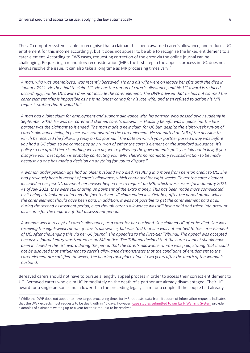The UC computer system is able to recognise that a claimant has been awarded carer's allowance, and reduces UC entitlement for this income accordingly, but it does not appear to be able to recognise the linked entitlement to a carer element. According to EWS cases, requesting correction of the error via the online journal can be challenging. Requesting a mandatory reconsideration (MR), the first step in the appeals process in UC, does not always resolve the issue. It can also take a long time as MR processing times vary. 7

*A man, who was unemployed, was recently bereaved. He and his wife were on legacy benefits until she died in January 2021. He then had to claim UC. He has the run-on of carer's allowance, and his UC award is reduced accordingly, but his UC award does not include the carer element. The DWP advised that he has not claimed the carer element (this is impossible as he is no longer caring for his late wife) and then refused to action his MR request, stating that it would fail.*

*A man had a joint claim for employment and support allowance with his partner, who passed away suddenly in September 2020. He was her carer and claimed carer's allowance. Housing benefit was in place but the late partner was the claimant so it ended. The man made a new claim for UC but, despite the eight-week run-on of carer's allowance being in place, was not awarded the carer element. He submitted an MR of the decision to which he received the following reply on his journal: "The date on which your partner passed away was before you had a UC claim so we cannot pay any run-on of either the carer's element or the standard allowance. It's policy so I'm afraid there is nothing we can do, we're following the government's policy as laid out in law, if you disagree your best option is probably contacting your MP. There's no mandatory reconsideration to be made because no one has made a decision on anything for you to dispute."* 

*A woman under pension age had an older husband who died, resulting in a move from pension credit to UC. She had previously been in receipt of carer's allowance, which continued for eight weeks. To get the carer element included in her first UC payment her adviser helped her to request an MR, which was successful in January 2021. As of July 2021, they were still chasing up payment of the extra money. This has been made more complicated by it being a telephone claim and the fact that her UC claim ended last October, after the period during which the carer element should have been paid. In addition, it was not possible to get the carer element paid at all during the second assessment period, even though carer's allowance was still being paid and taken into account as income for the majority of that assessment period.*

*A woman was in receipt of carer's allowance, as a carer for her husband. She claimed UC after he died. She was receiving the eight-week run-on of carer's allowance, but was told that she was not entitled to the carer element of UC. After challenging this via her UC journal, she appealed to the First-tier Tribunal. The appeal was accepted because a journal entry was treated as an MR notice. The Tribunal decided that the carer element should have been included in the UC award during the period that the carer's allowance run-on was paid, stating that it could not be disputed that entitlement to carer's allowance demonstrates that the conditions of entitlement to the carer element are satisfied. However, the hearing took place almost two years after the death of the woman's husband.* 

Bereaved carers should not have to pursue a lengthy appeal process in order to access their correct entitlement to UC*.* Bereaved carers who claim UC immediately on the death of a partner are already disadvantaged. Their UC award for a single person is much lower than the preceding legacy claim for a couple. If the couple had already

<sup>7</sup> While the DWP does not appear to have target processing times for MR requests, data from freedom of information requests indicates that the DWP expects most requests to be dealt with in 40 days. However, [case studies submitted to our Early Warning System](https://cpag.org.uk/sites/default/files/files/policypost/Computer%20says%20no%21%202%20-%20for%20web.pdf) provide examples of claimants waiting up to a year for their request to be resolved.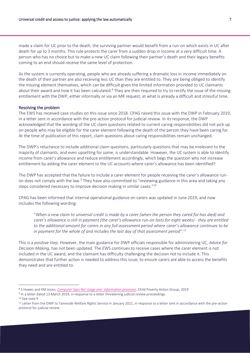made a claim for UC prior to the death, the surviving partner would benefit from a run-on which exists in UC after death for up to 3 months. This rule protects the carer from a sudden drop in income at a very difficult time. A person who has no choice but to make a new UC claim following their partner's death and their legacy benefits coming to an end should receive the same level of protection.

As the system is currently operating, people who are already suffering a dramatic loss in income immediately on the death of their partner are also receiving less UC than they are entitled to. They are being obliged to identify the missing element themselves, which can be difficult given the limited information provided to UC claimants about their award and how it has been calculated.<sup>8</sup> They are then required to try to rectify the issue of the missing entitlement with the DWP, either informally or via an MR request, at what is already a difficult and stressful time.

#### Resolving the problem

The EWS has received case studies on this issue since 2018. CPAG raised this issue with the DWP in February 2019, in a letter sent in accordance with the pre-action protocol for judicial review. In its response, the DWP acknowledged that the wording of the UC claim questions related to current caring responsibilities did not pick up on people who may be eligible for the carer element following the death of the person they have been caring for. At the time of publication of this report, claim questions about caring responsibilities remain unchanged.

The DWP's reluctance to include additional claim questions, particularly questions that may be irrelevant to the majority of claimants, and even upsetting for some, is understandable. However, the UC system is able to identify income from carer's allowance and reduce entitlement accordingly, which begs the question why not increase entitlement by adding the carer element to the UC accounts where carer's allowance has been identified?

The DWP has accepted that the failure to include a carer element for people receiving the carer's allowance runon does not comply with the law.<sup>9</sup> They have also committed to "reviewing guidance in this area and taking any steps considered necessary to improve decision making in similar cases."<sup>10</sup>

CPAG has been informed that internal operational guidance on carers was updated in June 2019, and now includes the following wording:

"*When a new claim to universal credit is made by a carer (when the person they cared for has died) and carer's allowance is still in payment (the carer's allowance run-on lasts for eight weeks) - they are entitled to the additional amount for carers in any full assessment period where carer's allowance continues to be in payment for the whole of and includes the last day of that assessment period"*. 11

This is a positive step. However, the main guidance for DWP officials responsible for administering UC, *Advice for Decision Making,* has not been updated. The EWS continues to receive cases where the carer element is not included in the UC award, and the claimant has difficulty challenging the decision not to include it. This demonstrates that further action is needed to address this issue, to ensure carers are able to access the benefits they need and are entitled to.

<sup>10</sup> See note 9

<sup>8</sup> S Howes and KM Jones, *[Computer Says No! stage one: information provision](https://cpag.org.uk/sites/default/files/files/policypost/Computer%20says%20%27no%21%27%20Stage%20one%20-%20information%20provision.pdf)*, Child Poverty Action Group, 2019

<sup>&</sup>lt;sup>9</sup> In a letter date[d 13 March 2019,](https://cpag.org.uk/welfare-rights/judicial-review/judicial-review-pre-action-letters/carers-following-death) in response to a letter threatening judicial review proceedings.

<sup>&</sup>lt;sup>11</sup> Letter from the DWP to Tameside Welfare Rights Service in January 2021, in response to a letter sent in accordance with the pre-action protocol for judicial review.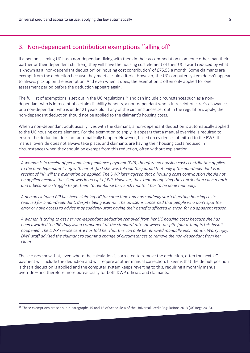## 3. Non-dependant contribution exemptions 'falling off'

If a person claiming UC has a non-dependant living with them in their accommodation (someone other than their partner or their dependent children), they will have the housing cost element of their UC award reduced by what is known as a 'non-dependant deduction' or 'housing cost contribution' of £75.53 a month. Some claimants are exempt from the deduction because they meet certain criteria. However, the UC computer system doesn't appear to always pick up on the exemption. And even when it does, the exemption is often only applied for one assessment period before the deduction appears again.

The full list of exemptions is set out in the UC regulations, $12$  and can include circumstances such as a nondependant who is in receipt of certain disability benefits, a non-dependant who is in receipt of carer's allowance, or a non-dependant who is under 21 years old. If any of the circumstances set out in the regulations apply, the non-dependant deduction should not be applied to the claimant's housing costs.

When a non-dependant adult usually lives with the claimant, a non-dependant deduction is automatically applied to the UC housing costs element. For the exemption to apply, it appears that a manual override is required to ensure the deduction does not automatically happen. However, based on evidence submitted to the EWS, this manual override does not always take place, and claimants are having their housing costs reduced in circumstances when they should be exempt from this reduction, often without explanation.

*A woman is in receipt of personal independence payment (PIP), therefore no housing costs contribution applies to the non-dependant living with her. At first she was told via the journal that only if the non-dependant is in receipt of PIP will the exemption be applied. The DWP later agreed that a housing costs contribution should not be applied because the client was in receipt of PIP. However, they kept on applying the contribution each month and it became a struggle to get them to reimburse her. Each month it has to be done manually.*

*A person claiming PIP has been claiming UC for some time and has suddenly started getting housing costs reduced for a non-dependant, despite being exempt. The adviser is concerned that people who don't spot the error or have access to advice may suddenly start having their benefits affected in error, for no apparent reason.*

*A woman is trying to get her non-dependant deduction removed from her UC housing costs because she has been awarded the PIP daily living component at the standard rate. However, despite four attempts this hasn't happened. The DWP service centre has told her that this can only be removed manually each month. Worryingly, DWP staff advised the claimant to submit a change of circumstances to remove the non-dependant from her claim.*

These cases show that, even where the calculation is corrected to remove the deduction, often the next UC payment will include the deduction and will require another manual correction. It seems that the default position is that a deduction is applied and the computer system keeps reverting to this, requiring a monthly manual override – and therefore more bureaucracy for both DWP officials and claimants.

<sup>&</sup>lt;sup>12</sup> These exemptions are set out in paragraphs 15 and 16 of Schedule 4 of the Universal Credit Regulations 2013 (UC Regs 2013).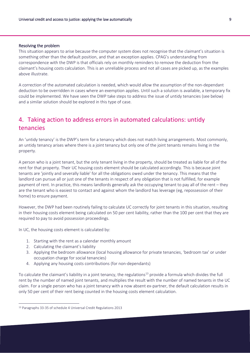#### Resolving the problem

This situation appears to arise because the computer system does not recognise that the claimant's situation is something other than the default position, and that an exception applies. CPAG's understanding from correspondence with the DWP is that officials rely on monthly reminders to remove the deduction from the claimant's housing costs calculation. This is an unreliable process and not all cases are picked up, as the examples above illustrate.

A correction of the automated calculation is needed, which would allow the assumption of the non-dependant deduction to be overridden in cases where an exemption applies. Until such a solution is available, a temporary fix could be implemented. We have seen the DWP take steps to address the issue of untidy tenancies (see below) and a similar solution should be explored in this type of case.

## 4. Taking action to address errors in automated calculations: untidy tenancies

An 'untidy tenancy' is the DWP's term for a tenancy which does not match living arrangements. Most commonly, an untidy tenancy arises where there is a joint tenancy but only one of the joint tenants remains living in the property.

A person who is a joint tenant, but the only tenant living in the property, should be treated as liable for all of the rent for that property. Their UC housing costs element should be calculated accordingly. This is because joint tenants are 'jointly and severally liable' for all the obligations owed under the tenancy. This means that the landlord can pursue all or just one of the tenants in respect of any obligation that is not fulfilled, for example payment of rent. In practice, this means landlords generally ask the occupying tenant to pay all of the rent – they are the tenant who is easiest to contact and against whom the landlord has leverage (eg, repossession of their home) to ensure payment.

However, the DWP had been routinely failing to calculate UC correctly for joint tenants in this situation, resulting in their housing costs element being calculated on 50 per cent liability, rather than the 100 per cent that they are required to pay to avoid possession proceedings.

In UC, the housing costs element is calculated by:

- 1. Starting with the rent as a calendar monthly amount
- 2. Calculating the claimant's liability
- 3. Applying the bedroom allowance (local housing allowance for private tenancies, 'bedroom tax' or under occupation charge for social tenancies)
- 4. Applying any housing costs contributions (for non-dependants)

To calculate the claimant's liability in a joint tenancy, the regulations<sup>13</sup> provide a formula which divides the full rent by the number of named joint tenants, and multiplies the result with the number of named tenants in the UC claim. For a single person who has a joint tenancy with a now absent ex-partner, the default calculation results in only 50 per cent of their rent being counted in the housing costs element calculation.

<sup>13</sup> Paragraphs 33-35 of schedule 4 Universal Credit Regulations 2013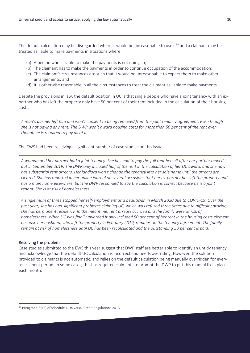The default calculation may be disregarded where it would be unreasonable to use it<sup>14</sup> and a claimant may be treated as liable to make payments in situations where:

- (a) A person who is liable to make the payments is not doing so;
- (b) The claimant has to make the payments in order to continue occupation of the accommodation;
- (c) The claimant's circumstances are such that it would be unreasonable to expect them to make other arrangements; and
- (d) It is otherwise reasonable in all the circumstances to treat the claimant as liable to make payments.

Despite the provisions in law, the default position in UC is that single people who have a joint tenancy with an expartner who has left the property only have 50 per cent of their rent included in the calculation of their housing costs.

*A man's partner left him and won't consent to being removed from the joint tenancy agreement, even though she is not paying any rent. The DWP won't award housing costs for more than 50 per cent of the rent even though he is required to pay all of it.* 

The EWS had been receiving a significant number of case studies on this issue.

*A woman and her partner had a joint tenancy. She has had to pay the full rent herself after her partner moved out in September 2019. The DWP only included half of the rent in the calculation of her UC award, and she now has substantial rent arrears. Her landlord won't change the tenancy into her sole name until the arrears are cleared. She has reported in her online journal on several occasions that her ex-partner has left the property and has a main home elsewhere, but the DWP responded to say the calculation is correct because he is a joint tenant. She is at risk of homelessness.*

*A single mum of three stopped her self-employment as a beautician in March 2020 due to COVID-19. Over the past year, she has had significant problems claiming UC, which was refused three times due to difficulty proving she has permanent residency. In the meantime, rent arrears accrued and the family were at risk of homelessness. When UC was finally awarded it only included 50 per cent of her rent in the housing costs element because her husband, who left the property in February 2019, remains on the tenancy agreement. The family remain at risk of homelessness until UC has been recalculated and the outstanding 50 per cent is paid.* 

#### Resolving the problem

 $\overline{a}$ 

Case studies submitted to the EWS this year suggest that DWP staff are better able to identify an untidy tenancy and acknowledge that the default UC calculation is incorrect and needs overriding. However, the solution provided to claimants is not automatic, and relies on the default calculation being manually overridden for every assessment period. In some cases, this has required claimants to prompt the DWP to put this manual fix in place each month.

<sup>14</sup> Paragraph 35(5) of schedule 4 Universal Credit Regulations 2013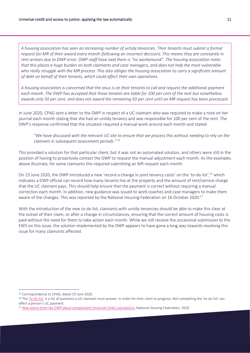*A housing association has seen an increasing number of untidy tenancies. Their tenants must submit a formal request for MR of their award every month (following an incorrect decision). This means they are constantly in rent arrears due to DWP error. DWP staff have said there is "no workaround". The housing association notes that this places a huge burden on both claimants and case managers, and does not help the most vulnerable who really struggle with the MR process. This also obliges the housing association to carry a significant amount of debt on behalf of their tenants, which could affect their own operations.*

*A housing association is concerned that the onus is on their tenants to call and request the additional payment each month. The DWP has accepted that these tenants are liable for 100 per cent of the rent but nonetheless awards only 50 per cent, and does not award the remaining 50 per cent until an MR request has been processed.*

In June 2020, CPAG sent a letter to the DWP in respect of a UC claimant who was required to make a note on her journal each month stating that she had an untidy tenancy and was responsible for 100 per cent of the rent. The DWP's response confirmed that the situation required a manual work-around each month and stated:

*"We have discussed with the relevant UC site to ensure that we process this without needing to rely on the claimant in subsequent assessment periods."* <sup>15</sup>

This provided a solution for that particular client, but it was not an automated solution, and others were still in the position of having to proactively contact the DWP to request the manual adjustment each month. As the examples above illustrate, for some claimants this required submitting an MR request each month.

On 23 June 2020, the DWP introduced a new 'record a change in joint tenancy costs' on the 'to-do list', <sup>16</sup> which indicates a DWP official can record how many tenants live at the property and the amount of rent/service charge that the UC claimant pays. This should help ensure that the payment is correct without requiring a manual correction each month. In addition, new guidance was issued to work coaches and case managers to make them aware of the changes. This was reported by the National Housing Federation on 16 October 2020.<sup>17</sup>

With the introduction of the new to-do list, claimants with untidy tenancies should be able to make this clear at the outset of their claim, or after a change in circumstances, ensuring that the correct amount of housing costs is paid without the need for them to take action each month. While we still receive the occasional submission to the EWS on this issue, the solution implemented by the DWP appears to have gone a long way towards resolving this issue for many claimants affected.

<sup>15</sup> Correspondence to CPAG, dated 19 June 2020

<sup>&</sup>lt;sup>16</sup> The 'to-[do list'](https://www.citizensadvice.org.uk/benefits/universal-credit/claiming/applying-for-universal-credit/) is a list of questions a UC claimant must answer, in order for their claim to progress. Not completing the 'to-do list' can affect a person's UC payment.

<sup>17</sup> *[New advice from the DWP about complicated Universal Credit calculations](https://www.housing.org.uk/news-and-blogs/news/new-advice-dwp-universal-credit-calculations/)*, National Housing Federation, 2020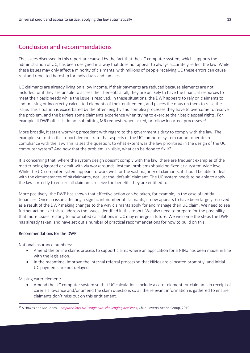## Conclusion and recommendations

The issues discussed in this report are caused by the fact that the UC computer system, which supports the administration of UC, has been designed in a way that does not appear to always accurately reflect the law. While these issues may only affect a minority of claimants, with millions of people receiving UC these errors can cause real and repeated hardship for individuals and families.

UC claimants are already living on a low income. If their payments are reduced because elements are not included, or if they are unable to access their benefits at all, they are unlikely to have the financial resources to meet their basic needs while the issue is resolved. In these situations, the DWP appears to rely on claimants to spot missing or incorrectly-calculated elements of their entitlement, and places the onus on them to raise the issue. This situation is exacerbated by the often lengthy and complex processes they have to overcome to resolve the problem, and the barriers some claimants experience when trying to exercise their basic appeal rights. For example, if DWP officials do not submitting MR requests when asked, or follow incorrect processes.<sup>18</sup>

More broadly, it sets a worrying precedent with regard to the government's duty to comply with the law. The examples set out in this report demonstrate that aspects of the UC computer system cannot operate in compliance with the law. This raises the question, to what extent was the law prioritised in the design of the UC computer system? And now that the problem is visible, what can be done to fix it?

It is concerning that, where the system design doesn't comply with the law, there are frequent examples of the matter being ignored or dealt with via workarounds. Instead, problems should be fixed at a system-wide level. While the UC computer system appears to work well for the vast majority of claimants, it should be able to deal with the circumstances of *all* claimants, not just the 'default' claimant. The UC system needs to be able to apply the law correctly to ensure all claimants receive the benefits they are entitled to.

More positively, the DWP has shown that effective action can be taken, for example, in the case of untidy tenancies. Once an issue affecting a significant number of claimants, it now appears to have been largely resolved as a result of the DWP making changes to the way claimants apply for and manage their UC claim. We need to see further action like this to address the issues identified in this report. We also need to prepare for the possibility that more issues relating to automated calculations in UC may emerge in future. We welcome the steps the DWP has already taken, and have set out a number of practical recommendations for how to build on this.

#### Recommendations for the DWP

National insurance numbers:

- Amend the online claims process to support claims where an application for a NINo has been made, in line with the legislation.
- In the meantime, improve the internal referral process so that NINos are allocated promptly, and initial UC payments are not delayed.

Missing carer element:

 $\overline{a}$ 

 Amend the UC computer system so that UC calculations include a carer element for claimants in receipt of carer's allowance and/or amend the claim questions so all the relevant information is gathered to ensure claimants don't miss out on this entitlement.

<sup>18</sup> S Howes and KM Jones, *[Computer Says No! stage two: challenging decisions](https://cpag.org.uk/sites/default/files/files/policypost/Computer%20says%20no%21%202%20-%20for%20web.pdf)*, Child Poverty Action Group, 2019